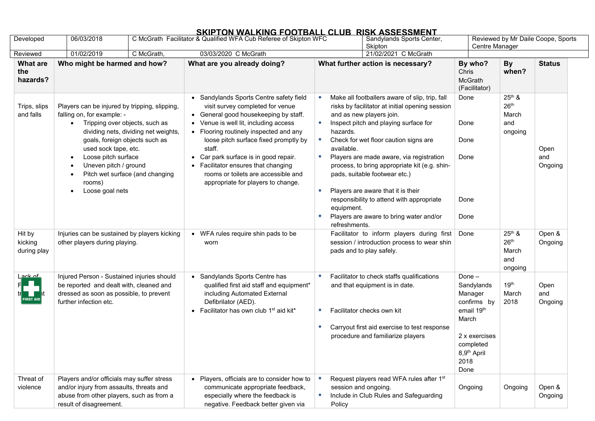## **SKIPTON WALKING FOOTBALL CLUB RISK ASSESSMENT**

| Developed                          | 06/03/2018                                                                                                                                                                                                                                                                                                                      |            | C McGrath Facilitator & Qualified WFA Cub Referee of Skipton WFC                                                                                                                                                                                                                                                                                                                                                  | Sandylands Sports Center,<br>Skipton                                                                                                                                                                                                                                                                                                                                                                                                                                                                                                                                        |                                                                                                                                               | Reviewed by Mr Daile Coope, Sports<br>Centre Manager       |                        |  |
|------------------------------------|---------------------------------------------------------------------------------------------------------------------------------------------------------------------------------------------------------------------------------------------------------------------------------------------------------------------------------|------------|-------------------------------------------------------------------------------------------------------------------------------------------------------------------------------------------------------------------------------------------------------------------------------------------------------------------------------------------------------------------------------------------------------------------|-----------------------------------------------------------------------------------------------------------------------------------------------------------------------------------------------------------------------------------------------------------------------------------------------------------------------------------------------------------------------------------------------------------------------------------------------------------------------------------------------------------------------------------------------------------------------------|-----------------------------------------------------------------------------------------------------------------------------------------------|------------------------------------------------------------|------------------------|--|
| Reviewed                           | 01/02/2019                                                                                                                                                                                                                                                                                                                      | C McGrath, | 03/03/2020 C McGrath                                                                                                                                                                                                                                                                                                                                                                                              | 21/02/2021 C McGrath                                                                                                                                                                                                                                                                                                                                                                                                                                                                                                                                                        |                                                                                                                                               |                                                            |                        |  |
| <b>What are</b><br>the<br>hazards? | Who might be harmed and how?                                                                                                                                                                                                                                                                                                    |            | What are you already doing?                                                                                                                                                                                                                                                                                                                                                                                       | What further action is necessary?                                                                                                                                                                                                                                                                                                                                                                                                                                                                                                                                           | By who?<br>Chris<br><b>McGrath</b><br>(Facilitator)                                                                                           | <b>By</b><br>when?                                         | <b>Status</b>          |  |
| Trips, slips<br>and falls          | Players can be injured by tripping, slipping,<br>falling on, for example: -<br>Tripping over objects, such as<br>dividing nets, dividing net weights,<br>goals, foreign objects such as<br>used sock tape, etc.<br>Loose pitch surface<br>Uneven pitch / ground<br>Pitch wet surface (and changing<br>rooms)<br>Loose goal nets |            | • Sandylands Sports Centre safety field<br>visit survey completed for venue<br>General good housekeeping by staff.<br>Venue is well lit, including access<br>• Flooring routinely inspected and any<br>loose pitch surface fixed promptly by<br>staff.<br>Car park surface is in good repair.<br>• Facilitator ensures that changing<br>rooms or toilets are accessible and<br>appropriate for players to change. | Make all footballers aware of slip, trip, fall<br>$\bullet$<br>risks by facilitator at initial opening session<br>and as new players join.<br>Inspect pitch and playing surface for<br>hazards.<br>Check for wet floor caution signs are<br>available.<br>Players are made aware, via registration<br>$\bullet$<br>process, to bring appropriate kit (e.g. shin-<br>pads, suitable footwear etc.)<br>Players are aware that it is their<br>$\bullet$<br>responsibility to attend with appropriate<br>equipment.<br>Players are aware to bring water and/or<br>refreshments. | Done<br>Done<br>Done<br>Done<br>Done<br>Done                                                                                                  | $25th$ &<br>26 <sup>th</sup><br>March<br>and<br>ongoing    | Open<br>and<br>Ongoing |  |
| Hit by<br>kicking<br>during play   | Injuries can be sustained by players kicking<br>other players during playing.                                                                                                                                                                                                                                                   |            | • WFA rules require shin pads to be<br>worn                                                                                                                                                                                                                                                                                                                                                                       | Facilitator to inform players during first<br>session / introduction process to wear shin<br>pads and to play safely.                                                                                                                                                                                                                                                                                                                                                                                                                                                       | Done                                                                                                                                          | $25^{th}$ &<br>26 <sup>th</sup><br>March<br>and<br>ongoing | Open &<br>Ongoing      |  |
| <u>ack of</u><br>FIRST AID $\mid$  | Injured Person - Sustained injuries should<br>be reported and dealt with, cleaned and<br>dressed as soon as possible, to prevent<br>further infection etc.                                                                                                                                                                      |            | • Sandylands Sports Centre has<br>qualified first aid staff and equipment*<br>including Automated External<br>Defibrilator (AED).<br>• Facilitator has own club 1 <sup>st</sup> aid kit*                                                                                                                                                                                                                          | Facilitator to check staffs qualifications<br>$\bullet$<br>and that equipment is in date.<br>Facilitator checks own kit<br>$\bullet$<br>Carryout first aid exercise to test response<br>$\bullet$<br>procedure and familiarize players                                                                                                                                                                                                                                                                                                                                      | Done-<br>Sandylands<br>Manager<br>confirms by<br>email 19th<br>March<br>2 x exercises<br>completed<br>8,9 <sup>th</sup> April<br>2018<br>Done | 19 <sup>th</sup><br>March<br>2018                          | Open<br>and<br>Ongoing |  |
| Threat of<br>violence              | Players and/or officials may suffer stress<br>and/or injury from assaults, threats and<br>abuse from other players, such as from a<br>result of disagreement.                                                                                                                                                                   |            | Players, officials are to consider how to<br>communicate appropriate feedback,<br>especially where the feedback is<br>negative. Feedback better given via                                                                                                                                                                                                                                                         | Request players read WFA rules after 1st<br>session and ongoing.<br>Include in Club Rules and Safeguarding<br>$\bullet$<br>Policy                                                                                                                                                                                                                                                                                                                                                                                                                                           | Ongoing                                                                                                                                       | Ongoing                                                    | Open &<br>Ongoing      |  |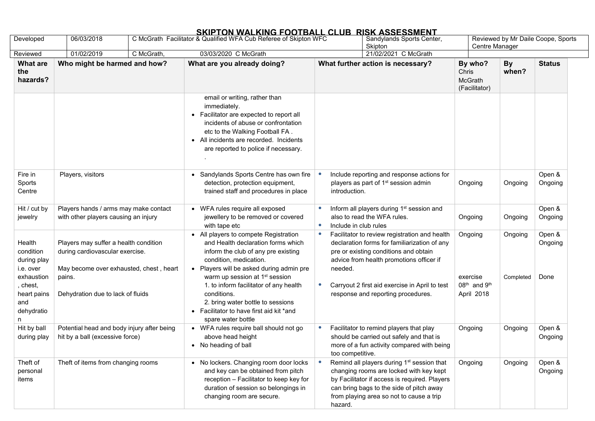## **SKIPTON WALKING FOOTBALL CLUB RISK ASSESSMENT**

| Developed                                                                                                     | 06/03/2018                                                                                                                                                         |  | C McGrath Facilitator & Qualified WFA Cub Referee of Skipton WFC                                                                                                                                                                                                                                                                                                                                     |                                                 | Sandylands Sports Center,<br>Skipton                                                                                                                                                                                                                                       |                                                                           | Reviewed by Mr Daile Coope, Sports<br>Centre Manager |                           |  |
|---------------------------------------------------------------------------------------------------------------|--------------------------------------------------------------------------------------------------------------------------------------------------------------------|--|------------------------------------------------------------------------------------------------------------------------------------------------------------------------------------------------------------------------------------------------------------------------------------------------------------------------------------------------------------------------------------------------------|-------------------------------------------------|----------------------------------------------------------------------------------------------------------------------------------------------------------------------------------------------------------------------------------------------------------------------------|---------------------------------------------------------------------------|------------------------------------------------------|---------------------------|--|
| Reviewed                                                                                                      | 01/02/2019<br>C McGrath,                                                                                                                                           |  | 03/03/2020 C McGrath                                                                                                                                                                                                                                                                                                                                                                                 |                                                 | 21/02/2021 C McGrath                                                                                                                                                                                                                                                       |                                                                           |                                                      |                           |  |
| <b>What are</b><br>the<br>hazards?                                                                            | Who might be harmed and how?                                                                                                                                       |  | What are you already doing?                                                                                                                                                                                                                                                                                                                                                                          | What further action is necessary?               |                                                                                                                                                                                                                                                                            | By who?<br>Chris<br><b>McGrath</b><br>(Facilitator)                       | <b>By</b><br>when?                                   | <b>Status</b>             |  |
|                                                                                                               |                                                                                                                                                                    |  | email or writing, rather than<br>immediately.<br>Facilitator are expected to report all<br>incidents of abuse or confrontation<br>etc to the Walking Football FA.<br>• All incidents are recorded. Incidents<br>are reported to police if necessary.                                                                                                                                                 |                                                 |                                                                                                                                                                                                                                                                            |                                                                           |                                                      |                           |  |
| Fire in<br>Sports<br>Centre                                                                                   | Players, visitors                                                                                                                                                  |  | Sandylands Sports Centre has own fire<br>detection, protection equipment,<br>trained staff and procedures in place                                                                                                                                                                                                                                                                                   | introduction.                                   | Include reporting and response actions for<br>players as part of 1 <sup>st</sup> session admin                                                                                                                                                                             | Ongoing                                                                   | Ongoing                                              | Open &<br>Ongoing         |  |
| Hit / cut by<br>jewelry                                                                                       | Players hands / arms may make contact<br>with other players causing an injury                                                                                      |  | • WFA rules require all exposed<br>jewellery to be removed or covered<br>with tape etc                                                                                                                                                                                                                                                                                                               | $\bullet$<br>$\bullet$<br>Include in club rules | Inform all players during 1 <sup>st</sup> session and<br>also to read the WFA rules.                                                                                                                                                                                       | Ongoing                                                                   | Ongoing                                              | Open &<br>Ongoing         |  |
| Health<br>condition<br>during play<br>i.e. over<br>exhaustion<br>, chest,<br>heart pains<br>and<br>dehydratio | Players may suffer a health condition<br>during cardiovascular exercise.<br>May become over exhausted, chest, heart<br>pains.<br>Dehydration due to lack of fluids |  | • All players to compete Registration<br>and Health declaration forms which<br>inform the club of any pre existing<br>condition, medication.<br>Players will be asked during admin pre<br>warm up session at 1 <sup>st</sup> session<br>1. to inform facilitator of any health<br>conditions.<br>2. bring water bottle to sessions<br>• Facilitator to have first aid kit *and<br>spare water bottle | $\bullet$<br>needed.<br>$\bullet$               | Facilitator to review registration and health<br>declaration forms for familiarization of any<br>pre or existing conditions and obtain<br>advice from health promotions officer if<br>Carryout 2 first aid exercise in April to test<br>response and reporting procedures. | Ongoing<br>exercise<br>08 <sup>th</sup> and 9 <sup>th</sup><br>April 2018 | Ongoing<br>Completed                                 | Open &<br>Ongoing<br>Done |  |
| Hit by ball<br>during play                                                                                    | Potential head and body injury after being<br>hit by a ball (excessive force)                                                                                      |  | • WFA rules require ball should not go<br>above head height<br>• No heading of ball                                                                                                                                                                                                                                                                                                                  | $\bullet$<br>too competitive.                   | Facilitator to remind players that play<br>should be carried out safely and that is<br>more of a fun activity compared with being                                                                                                                                          | Ongoing                                                                   | Ongoing                                              | Open &<br>Ongoing         |  |
| Theft of<br>personal<br>items                                                                                 | Theft of items from changing rooms                                                                                                                                 |  | • No lockers. Changing room door locks<br>and key can be obtained from pitch<br>reception - Facilitator to keep key for<br>duration of session so belongings in<br>changing room are secure.                                                                                                                                                                                                         | $\bullet$<br>hazard.                            | Remind all players during 1 <sup>st</sup> session that<br>changing rooms are locked with key kept<br>by Facilitator if access is required. Players<br>can bring bags to the side of pitch away<br>from playing area so not to cause a trip                                 | Ongoing                                                                   | Ongoing                                              | Open &<br>Ongoing         |  |